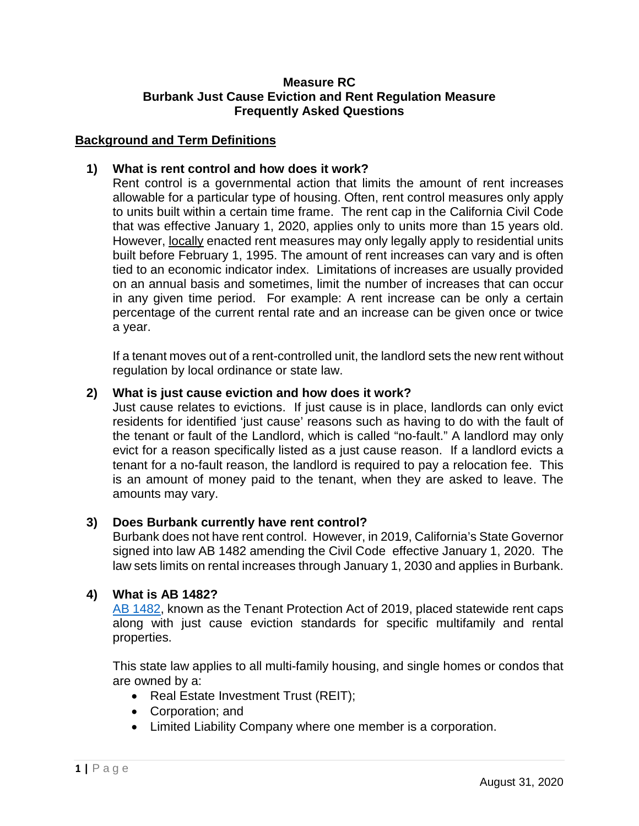### **Measure RC Burbank Just Cause Eviction and Rent Regulation Measure Frequently Asked Questions**

## **Background and Term Definitions**

## **1) What is rent control and how does it work?**

Rent control is a governmental action that limits the amount of rent increases allowable for a particular type of housing. Often, rent control measures only apply to units built within a certain time frame. The rent cap in the California Civil Code that was effective January 1, 2020, applies only to units more than 15 years old. However, locally enacted rent measures may only legally apply to residential units built before February 1, 1995. The amount of rent increases can vary and is often tied to an economic indicator index. Limitations of increases are usually provided on an annual basis and sometimes, limit the number of increases that can occur in any given time period. For example: A rent increase can be only a certain percentage of the current rental rate and an increase can be given once or twice a year.

If a tenant moves out of a rent-controlled unit, the landlord sets the new rent without regulation by local ordinance or state law.

### **2) What is just cause eviction and how does it work?**

Just cause relates to evictions. If just cause is in place, landlords can only evict residents for identified 'just cause' reasons such as having to do with the fault of the tenant or fault of the Landlord, which is called "no-fault." A landlord may only evict for a reason specifically listed as a just cause reason. If a landlord evicts a tenant for a no-fault reason, the landlord is required to pay a relocation fee. This is an amount of money paid to the tenant, when they are asked to leave. The amounts may vary.

### **3) Does Burbank currently have rent control?**

Burbank does not have rent control. However, in 2019, California's State Governor signed into law AB 1482 amending the Civil Code effective January 1, 2020. The law sets limits on rental increases through January 1, 2030 and applies in Burbank.

### **4) What is AB 1482?**

[AB 1482,](https://leginfo.legislature.ca.gov/faces/billTextClient.xhtml?bill_id=201920200AB1482) known as the Tenant Protection Act of 2019, placed statewide rent caps along with just cause eviction standards for specific multifamily and rental properties.

This state law applies to all multi-family housing, and single homes or condos that are owned by a:

- Real Estate Investment Trust (REIT);
- Corporation; and
- Limited Liability Company where one member is a corporation.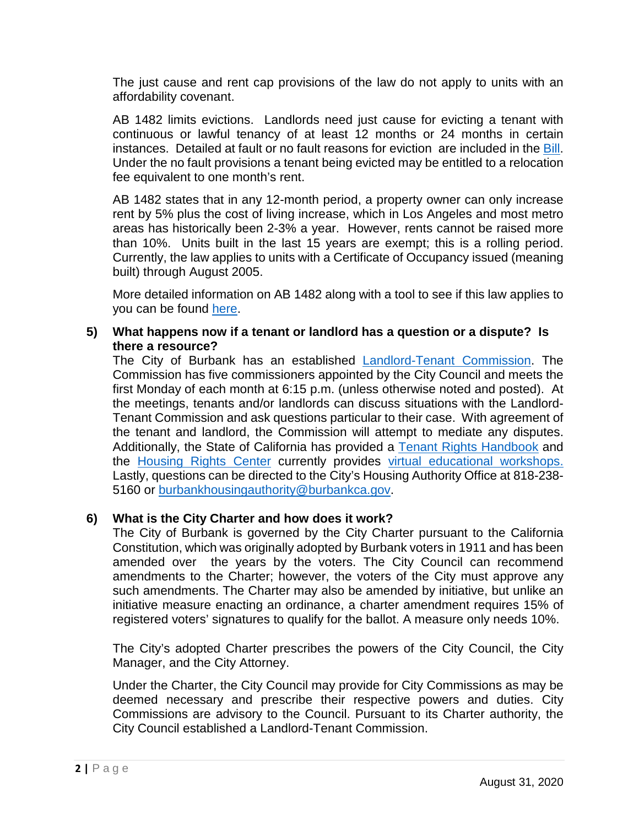The just cause and rent cap provisions of the law do not apply to units with an affordability covenant.

AB 1482 limits evictions. Landlords need just cause for evicting a tenant with continuous or lawful tenancy of at least 12 months or 24 months in certain instances. Detailed at fault or no fault reasons for eviction are included in the [Bill.](https://leginfo.legislature.ca.gov/faces/billTextClient.xhtml?bill_id=201920200AB1482) Under the no fault provisions a tenant being evicted may be entitled to a relocation fee equivalent to one month's rent.

AB 1482 states that in any 12-month period, a property owner can only increase rent by 5% plus the cost of living increase, which in Los Angeles and most metro areas has historically been 2-3% a year. However, rents cannot be raised more than 10%. Units built in the last 15 years are exempt; this is a rolling period. Currently, the law applies to units with a Certificate of Occupancy issued (meaning built) through August 2005.

More detailed information on AB 1482 along with a tool to see if this law applies to you can be found [here.](https://www.burbankca.gov/Home/Components/News/News/3991/)

#### **5) What happens now if a tenant or landlord has a question or a dispute? Is there a resource?**

The City of Burbank has an established [Landlord-Tenant Commission.](https://www.burbankca.gov/departments/community-development/housing-economic-development/housing/the-burbank-landlord-tenant-commission) The Commission has five commissioners appointed by the City Council and meets the first Monday of each month at 6:15 p.m. (unless otherwise noted and posted). At the meetings, tenants and/or landlords can discuss situations with the Landlord-Tenant Commission and ask questions particular to their case. With agreement of the tenant and landlord, the Commission will attempt to mediate any disputes. Additionally, the State of California has provided a [Tenant Rights](https://www.burbankca.gov/home/showdocument?id=25281) Handbook and the [Housing Rights Center](https://www.housingrightscenter.org/) currently provides [virtual educational workshops.](https://www.burbankca.gov/home/showdocument?id=53128) Lastly, questions can be directed to the City's Housing Authority Office at 818-238- 5160 or [burbankhousingauthority@burbankca.gov.](mailto:burbankhousingauthority@burbankca.gov)

### **6) What is the City Charter and how does it work?**

The City of Burbank is governed by the City Charter pursuant to the California Constitution, which was originally adopted by Burbank voters in 1911 and has been amended over the years by the voters. The City Council can recommend amendments to the Charter; however, the voters of the City must approve any such amendments. The Charter may also be amended by initiative, but unlike an initiative measure enacting an ordinance, a charter amendment requires 15% of registered voters' signatures to qualify for the ballot. A measure only needs 10%.

The City's adopted Charter prescribes the powers of the City Council, the City Manager, and the City Attorney.

Under the Charter, the City Council may provide for City Commissions as may be deemed necessary and prescribe their respective powers and duties. City Commissions are advisory to the Council. Pursuant to its Charter authority, the City Council established a Landlord-Tenant Commission.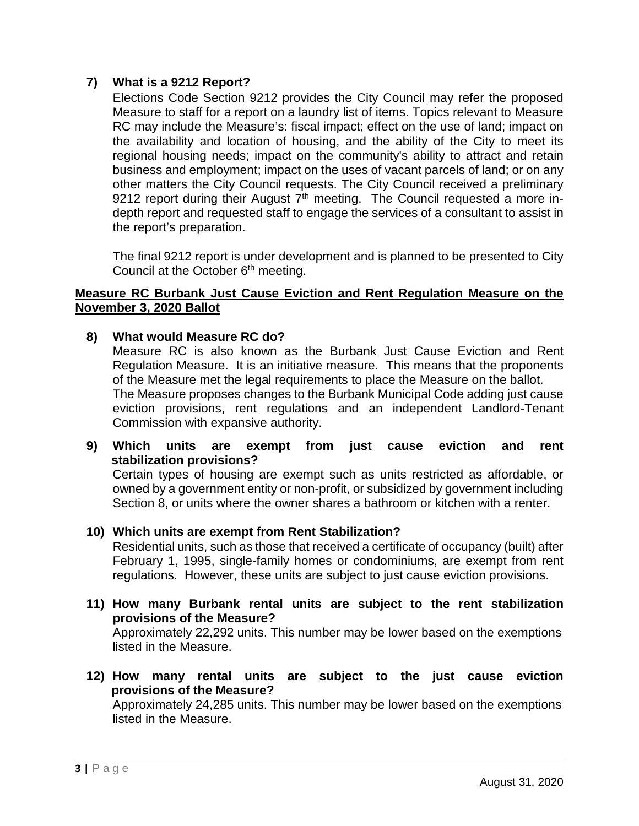# **7) What is a 9212 Report?**

Elections Code Section 9212 provides the City Council may refer the proposed Measure to staff for a report on a laundry list of items. Topics relevant to Measure RC may include the Measure's: fiscal impact; effect on the use of land; impact on the availability and location of housing, and the ability of the City to meet its regional housing needs; impact on the community's ability to attract and retain business and employment; impact on the uses of vacant parcels of land; or on any other matters the City Council requests. The City Council received a preliminary 9212 report during their August  $7<sup>th</sup>$  meeting. The Council requested a more indepth report and requested staff to engage the services of a consultant to assist in the report's preparation.

The final 9212 report is under development and is planned to be presented to City Council at the October  $6<sup>th</sup>$  meeting.

#### **Measure RC Burbank Just Cause Eviction and Rent Regulation Measure on the November 3, 2020 Ballot**

**8) What would Measure RC do?**

Measure RC is also known as the Burbank Just Cause Eviction and Rent Regulation Measure. It is an initiative measure. This means that the proponents of the Measure met the legal requirements to place the Measure on the ballot. The Measure proposes changes to the Burbank Municipal Code adding just cause eviction provisions, rent regulations and an independent Landlord-Tenant Commission with expansive authority.

**9) Which units are exempt from just cause eviction and rent stabilization provisions?** 

Certain types of housing are exempt such as units restricted as affordable, or owned by a government entity or non-profit, or subsidized by government including Section 8, or units where the owner shares a bathroom or kitchen with a renter.

**10) Which units are exempt from Rent Stabilization?** 

Residential units, such as those that received a certificate of occupancy (built) after February 1, 1995, single-family homes or condominiums, are exempt from rent regulations. However, these units are subject to just cause eviction provisions.

- **11) How many Burbank rental units are subject to the rent stabilization provisions of the Measure?**  Approximately 22,292 units. This number may be lower based on the exemptions listed in the Measure.
- **12) How many rental units are subject to the just cause eviction provisions of the Measure?** Approximately 24,285 units. This number may be lower based on the exemptions listed in the Measure.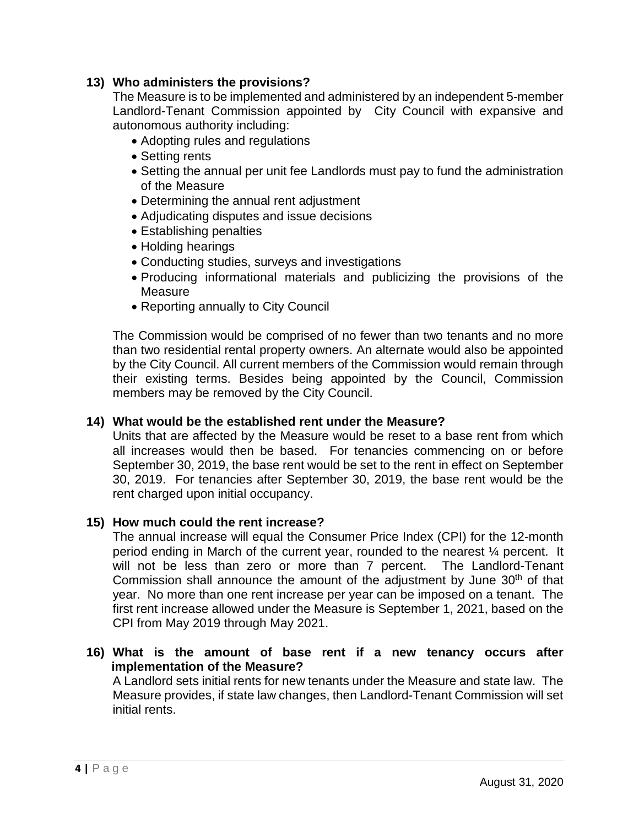# **13) Who administers the provisions?**

The Measure is to be implemented and administered by an independent 5-member Landlord-Tenant Commission appointed by City Council with expansive and autonomous authority including:

- Adopting rules and regulations
- Setting rents
- Setting the annual per unit fee Landlords must pay to fund the administration of the Measure
- Determining the annual rent adjustment
- Adjudicating disputes and issue decisions
- Establishing penalties
- Holding hearings
- Conducting studies, surveys and investigations
- Producing informational materials and publicizing the provisions of the Measure
- Reporting annually to City Council

The Commission would be comprised of no fewer than two tenants and no more than two residential rental property owners. An alternate would also be appointed by the City Council. All current members of the Commission would remain through their existing terms. Besides being appointed by the Council, Commission members may be removed by the City Council.

### **14) What would be the established rent under the Measure?**

Units that are affected by the Measure would be reset to a base rent from which all increases would then be based. For tenancies commencing on or before September 30, 2019, the base rent would be set to the rent in effect on September 30, 2019. For tenancies after September 30, 2019, the base rent would be the rent charged upon initial occupancy.

### **15) How much could the rent increase?**

The annual increase will equal the Consumer Price Index (CPI) for the 12-month period ending in March of the current year, rounded to the nearest ¼ percent. It will not be less than zero or more than 7 percent. The Landlord-Tenant Commission shall announce the amount of the adjustment by June  $30<sup>th</sup>$  of that year. No more than one rent increase per year can be imposed on a tenant. The first rent increase allowed under the Measure is September 1, 2021, based on the CPI from May 2019 through May 2021.

**16) What is the amount of base rent if a new tenancy occurs after implementation of the Measure?**

A Landlord sets initial rents for new tenants under the Measure and state law. The Measure provides, if state law changes, then Landlord-Tenant Commission will set initial rents.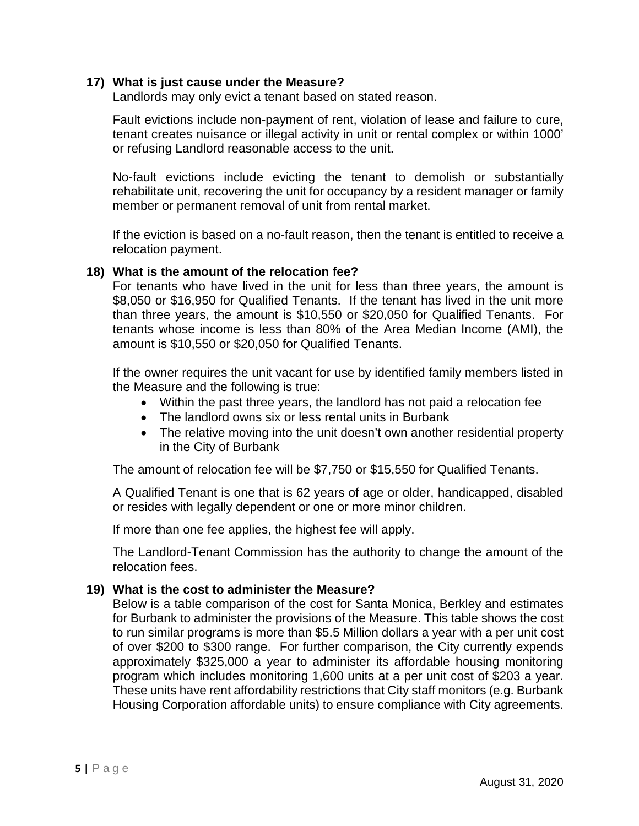### **17) What is just cause under the Measure?**

Landlords may only evict a tenant based on stated reason.

Fault evictions include non-payment of rent, violation of lease and failure to cure, tenant creates nuisance or illegal activity in unit or rental complex or within 1000' or refusing Landlord reasonable access to the unit.

No-fault evictions include evicting the tenant to demolish or substantially rehabilitate unit, recovering the unit for occupancy by a resident manager or family member or permanent removal of unit from rental market.

If the eviction is based on a no-fault reason, then the tenant is entitled to receive a relocation payment.

#### **18) What is the amount of the relocation fee?**

For tenants who have lived in the unit for less than three years, the amount is \$8,050 or \$16,950 for Qualified Tenants. If the tenant has lived in the unit more than three years, the amount is \$10,550 or \$20,050 for Qualified Tenants. For tenants whose income is less than 80% of the Area Median Income (AMI), the amount is \$10,550 or \$20,050 for Qualified Tenants.

If the owner requires the unit vacant for use by identified family members listed in the Measure and the following is true:

- Within the past three years, the landlord has not paid a relocation fee
- The landlord owns six or less rental units in Burbank
- The relative moving into the unit doesn't own another residential property in the City of Burbank

The amount of relocation fee will be \$7,750 or \$15,550 for Qualified Tenants.

A Qualified Tenant is one that is 62 years of age or older, handicapped, disabled or resides with legally dependent or one or more minor children.

If more than one fee applies, the highest fee will apply.

The Landlord-Tenant Commission has the authority to change the amount of the relocation fees.

### **19) What is the cost to administer the Measure?**

Below is a table comparison of the cost for Santa Monica, Berkley and estimates for Burbank to administer the provisions of the Measure. This table shows the cost to run similar programs is more than \$5.5 Million dollars a year with a per unit cost of over \$200 to \$300 range. For further comparison, the City currently expends approximately \$325,000 a year to administer its affordable housing monitoring program which includes monitoring 1,600 units at a per unit cost of \$203 a year. These units have rent affordability restrictions that City staff monitors (e.g. Burbank Housing Corporation affordable units) to ensure compliance with City agreements.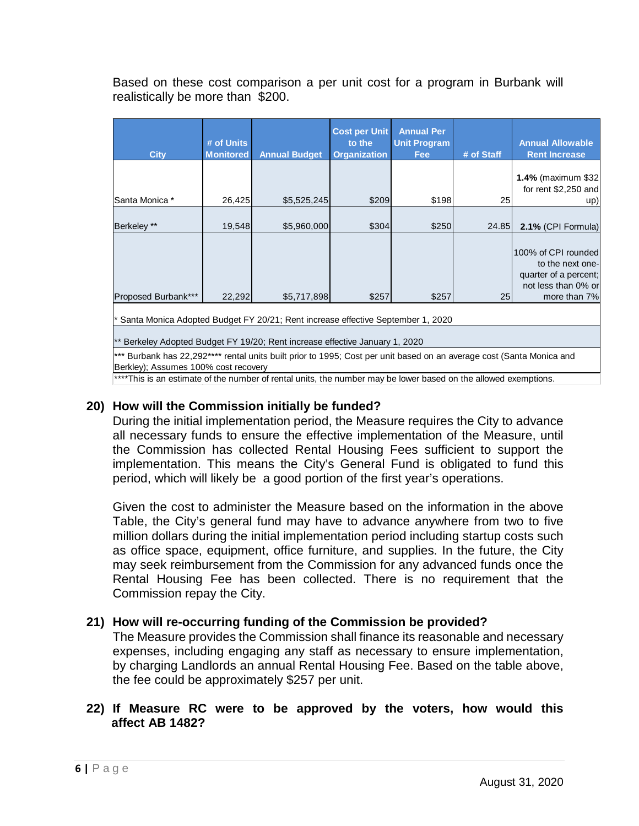Based on these cost comparison a per unit cost for a program in Burbank will realistically be more than \$200.

|                                                                                                                                                               | # of Units       |                      | <b>Cost per Unit</b><br>to the | <b>Annual Per</b><br><b>Unit Program</b> |            | <b>Annual Allowable</b>                                                                 |
|---------------------------------------------------------------------------------------------------------------------------------------------------------------|------------------|----------------------|--------------------------------|------------------------------------------|------------|-----------------------------------------------------------------------------------------|
| <b>City</b>                                                                                                                                                   | <b>Monitored</b> | <b>Annual Budget</b> | <b>Organization</b>            | <b>Fee</b>                               | # of Staff | <b>Rent Increase</b>                                                                    |
| Santa Monica *                                                                                                                                                | 26,425           | \$5,525,245          | \$209                          | \$198                                    | 25         | <b>1.4% (maximum \$32)</b><br>for rent $$2,250$ and<br>up)                              |
|                                                                                                                                                               |                  |                      |                                |                                          |            |                                                                                         |
| Berkeley **                                                                                                                                                   | 19,548           | \$5,960,000          | \$304                          | \$250                                    | 24.85      | 2.1% (CPI Formula)                                                                      |
|                                                                                                                                                               |                  |                      |                                |                                          |            | 100% of CPI rounded<br>to the next one-<br>quarter of a percent;<br>not less than 0% or |
| Proposed Burbank***                                                                                                                                           | 22,292           | \$5,717,898          | \$257                          | \$257                                    | 25         | more than 7%                                                                            |
| Santa Monica Adopted Budget FY 20/21; Rent increase effective September 1, 2020                                                                               |                  |                      |                                |                                          |            |                                                                                         |
| ** Berkeley Adopted Budget FY 19/20; Rent increase effective January 1, 2020                                                                                  |                  |                      |                                |                                          |            |                                                                                         |
| *** Burbank has 22,292**** rental units built prior to 1995; Cost per unit based on an average cost (Santa Monica and<br>Berkley); Assumes 100% cost recovery |                  |                      |                                |                                          |            |                                                                                         |

\*\*\*\*This is an estimate of the number of rental units, the number may be lower based on the allowed exemptions.

# **20) How will the Commission initially be funded?**

During the initial implementation period, the Measure requires the City to advance all necessary funds to ensure the effective implementation of the Measure, until the Commission has collected Rental Housing Fees sufficient to support the implementation. This means the City's General Fund is obligated to fund this period, which will likely be a good portion of the first year's operations.

Given the cost to administer the Measure based on the information in the above Table, the City's general fund may have to advance anywhere from two to five million dollars during the initial implementation period including startup costs such as office space, equipment, office furniture, and supplies. In the future, the City may seek reimbursement from the Commission for any advanced funds once the Rental Housing Fee has been collected. There is no requirement that the Commission repay the City.

# **21) How will re-occurring funding of the Commission be provided?**

The Measure provides the Commission shall finance its reasonable and necessary expenses, including engaging any staff as necessary to ensure implementation, by charging Landlords an annual Rental Housing Fee. Based on the table above, the fee could be approximately \$257 per unit.

### **22) If Measure RC were to be approved by the voters, how would this affect AB 1482?**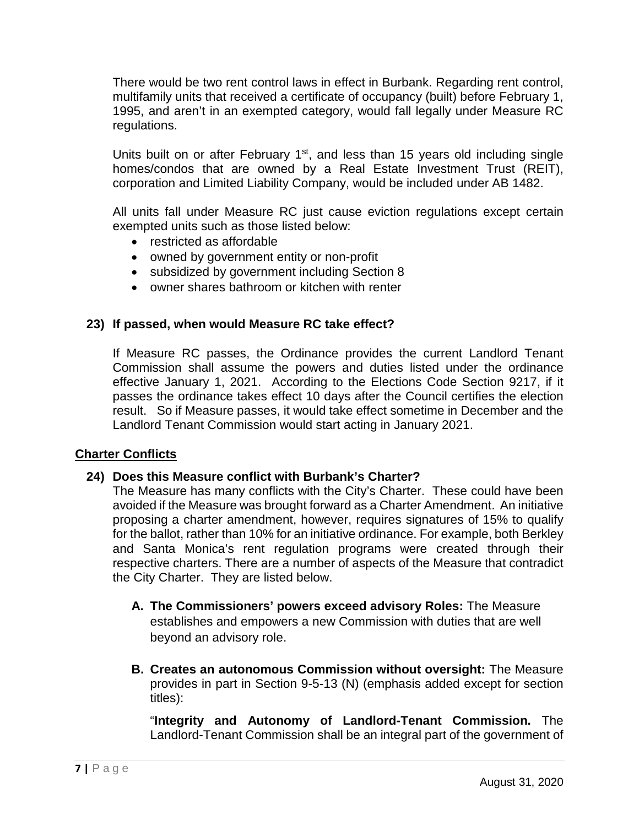There would be two rent control laws in effect in Burbank. Regarding rent control, multifamily units that received a certificate of occupancy (built) before February 1, 1995, and aren't in an exempted category, would fall legally under Measure RC regulations.

Units built on or after February  $1<sup>st</sup>$ , and less than 15 years old including single homes/condos that are owned by a Real Estate Investment Trust (REIT), corporation and Limited Liability Company, would be included under AB 1482.

All units fall under Measure RC just cause eviction regulations except certain exempted units such as those listed below:

- restricted as affordable
- owned by government entity or non-profit
- subsidized by government including Section 8
- owner shares bathroom or kitchen with renter

### **23) If passed, when would Measure RC take effect?**

If Measure RC passes, the Ordinance provides the current Landlord Tenant Commission shall assume the powers and duties listed under the ordinance effective January 1, 2021. According to the Elections Code Section 9217, if it passes the ordinance takes effect 10 days after the Council certifies the election result. So if Measure passes, it would take effect sometime in December and the Landlord Tenant Commission would start acting in January 2021.

### **Charter Conflicts**

### **24) Does this Measure conflict with Burbank's Charter?**

The Measure has many conflicts with the City's Charter. These could have been avoided if the Measure was brought forward as a Charter Amendment. An initiative proposing a charter amendment, however, requires signatures of 15% to qualify for the ballot, rather than 10% for an initiative ordinance. For example, both Berkley and Santa Monica's rent regulation programs were created through their respective charters. There are a number of aspects of the Measure that contradict the City Charter. They are listed below.

- **A. The Commissioners' powers exceed advisory Roles:** The Measure establishes and empowers a new Commission with duties that are well beyond an advisory role.
- **B. Creates an autonomous Commission without oversight:** The Measure provides in part in Section 9-5-13 (N) (emphasis added except for section titles):

"**Integrity and Autonomy of Landlord-Tenant Commission.** The Landlord-Tenant Commission shall be an integral part of the government of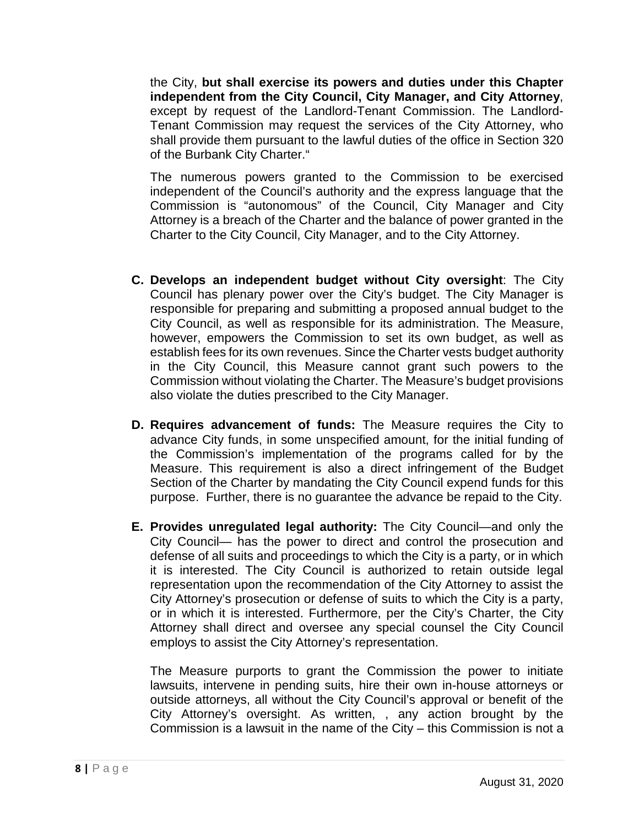the City, **but shall exercise its powers and duties under this Chapter independent from the City Council, City Manager, and City Attorney**, except by request of the Landlord-Tenant Commission. The Landlord-Tenant Commission may request the services of the City Attorney, who shall provide them pursuant to the lawful duties of the office in Section 320 of the Burbank City Charter."

The numerous powers granted to the Commission to be exercised independent of the Council's authority and the express language that the Commission is "autonomous" of the Council, City Manager and City Attorney is a breach of the Charter and the balance of power granted in the Charter to the City Council, City Manager, and to the City Attorney.

- **C. Develops an independent budget without City oversight**: The City Council has plenary power over the City's budget. The City Manager is responsible for preparing and submitting a proposed annual budget to the City Council, as well as responsible for its administration. The Measure, however, empowers the Commission to set its own budget, as well as establish fees for its own revenues. Since the Charter vests budget authority in the City Council, this Measure cannot grant such powers to the Commission without violating the Charter. The Measure's budget provisions also violate the duties prescribed to the City Manager.
- **D. Requires advancement of funds:** The Measure requires the City to advance City funds, in some unspecified amount, for the initial funding of the Commission's implementation of the programs called for by the Measure. This requirement is also a direct infringement of the Budget Section of the Charter by mandating the City Council expend funds for this purpose. Further, there is no guarantee the advance be repaid to the City.
- **E. Provides unregulated legal authority:** The City Council—and only the City Council— has the power to direct and control the prosecution and defense of all suits and proceedings to which the City is a party, or in which it is interested. The City Council is authorized to retain outside legal representation upon the recommendation of the City Attorney to assist the City Attorney's prosecution or defense of suits to which the City is a party, or in which it is interested. Furthermore, per the City's Charter, the City Attorney shall direct and oversee any special counsel the City Council employs to assist the City Attorney's representation.

The Measure purports to grant the Commission the power to initiate lawsuits, intervene in pending suits, hire their own in-house attorneys or outside attorneys, all without the City Council's approval or benefit of the City Attorney's oversight. As written, , any action brought by the Commission is a lawsuit in the name of the City – this Commission is not a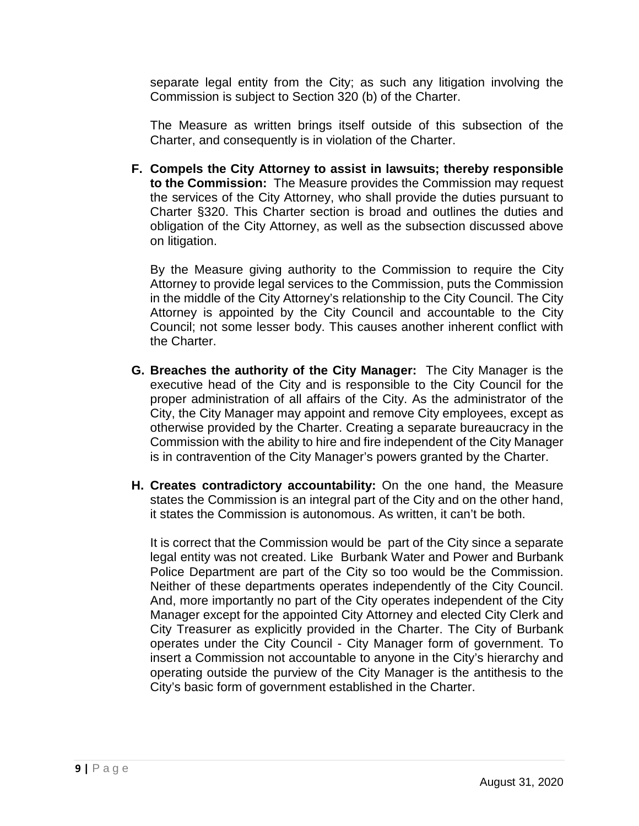separate legal entity from the City; as such any litigation involving the Commission is subject to Section 320 (b) of the Charter.

The Measure as written brings itself outside of this subsection of the Charter, and consequently is in violation of the Charter.

**F. Compels the City Attorney to assist in lawsuits; thereby responsible to the Commission:** The Measure provides the Commission may request the services of the City Attorney, who shall provide the duties pursuant to Charter §320. This Charter section is broad and outlines the duties and obligation of the City Attorney, as well as the subsection discussed above on litigation.

By the Measure giving authority to the Commission to require the City Attorney to provide legal services to the Commission, puts the Commission in the middle of the City Attorney's relationship to the City Council. The City Attorney is appointed by the City Council and accountable to the City Council; not some lesser body. This causes another inherent conflict with the Charter.

- **G. Breaches the authority of the City Manager:** The City Manager is the executive head of the City and is responsible to the City Council for the proper administration of all affairs of the City. As the administrator of the City, the City Manager may appoint and remove City employees, except as otherwise provided by the Charter. Creating a separate bureaucracy in the Commission with the ability to hire and fire independent of the City Manager is in contravention of the City Manager's powers granted by the Charter.
- **H. Creates contradictory accountability:** On the one hand, the Measure states the Commission is an integral part of the City and on the other hand, it states the Commission is autonomous. As written, it can't be both.

It is correct that the Commission would be part of the City since a separate legal entity was not created. Like Burbank Water and Power and Burbank Police Department are part of the City so too would be the Commission. Neither of these departments operates independently of the City Council. And, more importantly no part of the City operates independent of the City Manager except for the appointed City Attorney and elected City Clerk and City Treasurer as explicitly provided in the Charter. The City of Burbank operates under the City Council - City Manager form of government. To insert a Commission not accountable to anyone in the City's hierarchy and operating outside the purview of the City Manager is the antithesis to the City's basic form of government established in the Charter.